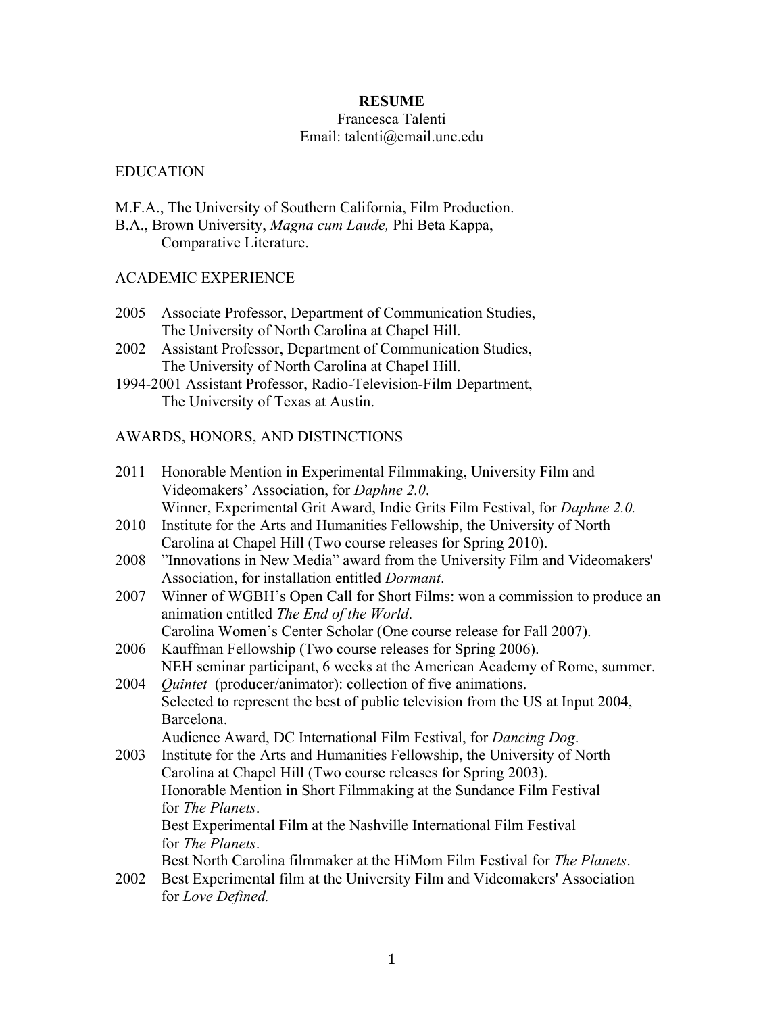## **RESUME**

#### Francesca Talenti Email: talenti@email.unc.edu

### EDUCATION

M.F.A., The University of Southern California, Film Production.

B.A., Brown University, *Magna cum Laude,* Phi Beta Kappa, Comparative Literature.

### ACADEMIC EXPERIENCE

- 2005 Associate Professor, Department of Communication Studies, The University of North Carolina at Chapel Hill.
- 2002 Assistant Professor, Department of Communication Studies, The University of North Carolina at Chapel Hill.
- 1994-2001 Assistant Professor, Radio-Television-Film Department, The University of Texas at Austin.

## AWARDS, HONORS, AND DISTINCTIONS

- 2011 Honorable Mention in Experimental Filmmaking, University Film and Videomakers' Association, for *Daphne 2.0*. Winner, Experimental Grit Award, Indie Grits Film Festival, for *Daphne 2.0.*
- 2010 Institute for the Arts and Humanities Fellowship, the University of North Carolina at Chapel Hill (Two course releases for Spring 2010).
- 2008 "Innovations in New Media" award from the University Film and Videomakers' Association, for installation entitled *Dormant*.
- 2007 Winner of WGBH's Open Call for Short Films: won a commission to produce an animation entitled *The End of the World*. Carolina Women's Center Scholar (One course release for Fall 2007).
- 2006 Kauffman Fellowship (Two course releases for Spring 2006).
- NEH seminar participant, 6 weeks at the American Academy of Rome, summer. 2004 *Quintet* (producer/animator): collection of five animations. Selected to represent the best of public television from the US at Input 2004, Barcelona.

Audience Award, DC International Film Festival, for *Dancing Dog*.

- 2003 Institute for the Arts and Humanities Fellowship, the University of North Carolina at Chapel Hill (Two course releases for Spring 2003). Honorable Mention in Short Filmmaking at the Sundance Film Festival for *The Planets*. Best Experimental Film at the Nashville International Film Festival for *The Planets*. Best North Carolina filmmaker at the HiMom Film Festival for *The Planets*.
- 2002 Best Experimental film at the University Film and Videomakers' Association for *Love Defined.*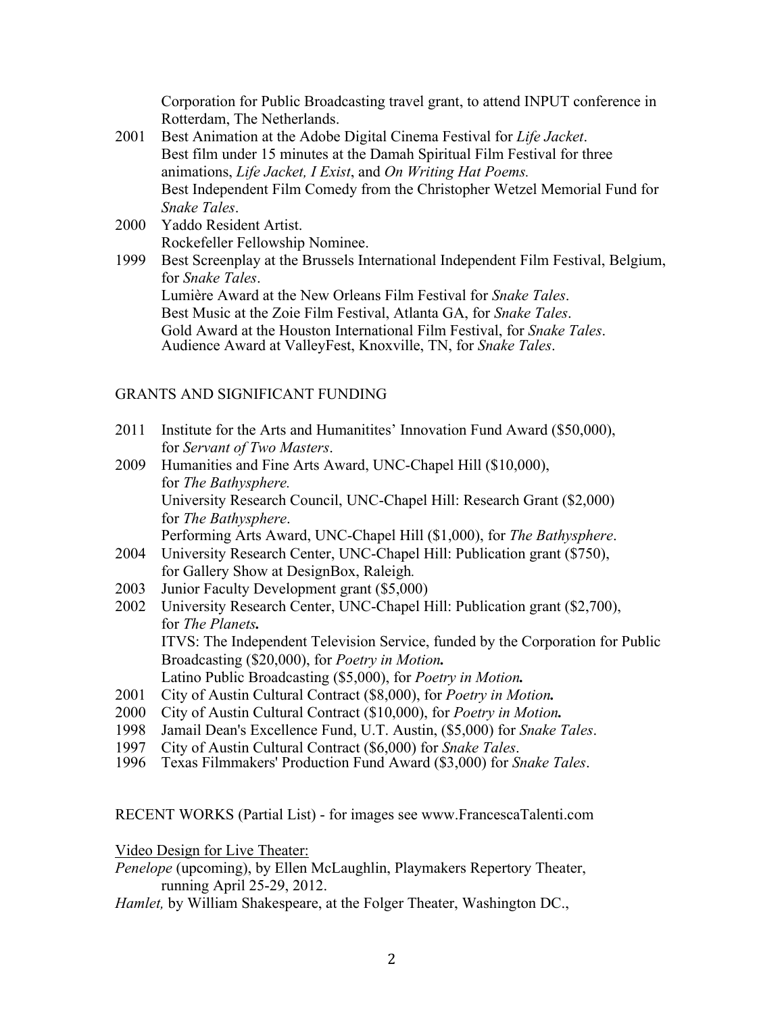Corporation for Public Broadcasting travel grant, to attend INPUT conference in Rotterdam, The Netherlands.

- 2001 Best Animation at the Adobe Digital Cinema Festival for *Life Jacket*. Best film under 15 minutes at the Damah Spiritual Film Festival for three animations, *Life Jacket, I Exist*, and *On Writing Hat Poems.* Best Independent Film Comedy from the Christopher Wetzel Memorial Fund for *Snake Tales*.
- 2000 Yaddo Resident Artist. Rockefeller Fellowship Nominee.
- 1999 Best Screenplay at the Brussels International Independent Film Festival, Belgium, for *Snake Tales*. Lumière Award at the New Orleans Film Festival for *Snake Tales*. Best Music at the Zoie Film Festival, Atlanta GA, for *Snake Tales*. Gold Award at the Houston International Film Festival, for *Snake Tales*. Audience Award at ValleyFest, Knoxville, TN, for *Snake Tales*.

# GRANTS AND SIGNIFICANT FUNDING

- 2011 Institute for the Arts and Humanitites' Innovation Fund Award (\$50,000), for *Servant of Two Masters*.
- 2009 Humanities and Fine Arts Award, UNC-Chapel Hill (\$10,000), for *The Bathysphere.* University Research Council, UNC-Chapel Hill: Research Grant (\$2,000) for *The Bathysphere*. Performing Arts Award, UNC-Chapel Hill (\$1,000), for *The Bathysphere*.
- 2004 University Research Center, UNC-Chapel Hill: Publication grant (\$750), for Gallery Show at DesignBox, Raleigh*.*
- 2003 Junior Faculty Development grant (\$5,000)
- 2002 University Research Center, UNC-Chapel Hill: Publication grant (\$2,700), for *The Planets.* ITVS: The Independent Television Service, funded by the Corporation for Public Broadcasting (\$20,000), for *Poetry in Motion.* Latino Public Broadcasting (\$5,000), for *Poetry in Motion.*
- 2001 City of Austin Cultural Contract (\$8,000), for *Poetry in Motion.*
- 2000 City of Austin Cultural Contract (\$10,000), for *Poetry in Motion.*
- 1998 Jamail Dean's Excellence Fund, U.T. Austin, (\$5,000) for *Snake Tales*.
- 
- <sup>1997</sup> City of Austin Cultural Contract (\$6,000) for *Snake Tales*. <sup>1996</sup> Texas Filmmakers' Production Fund Award (\$3,000) for *Snake Tales*.

RECENT WORKS (Partial List) - for images see www.FrancescaTalenti.com

Video Design for Live Theater:

*Penelope* (upcoming), by Ellen McLaughlin, Playmakers Repertory Theater, running April 25-29, 2012.

*Hamlet,* by William Shakespeare, at the Folger Theater, Washington DC.,